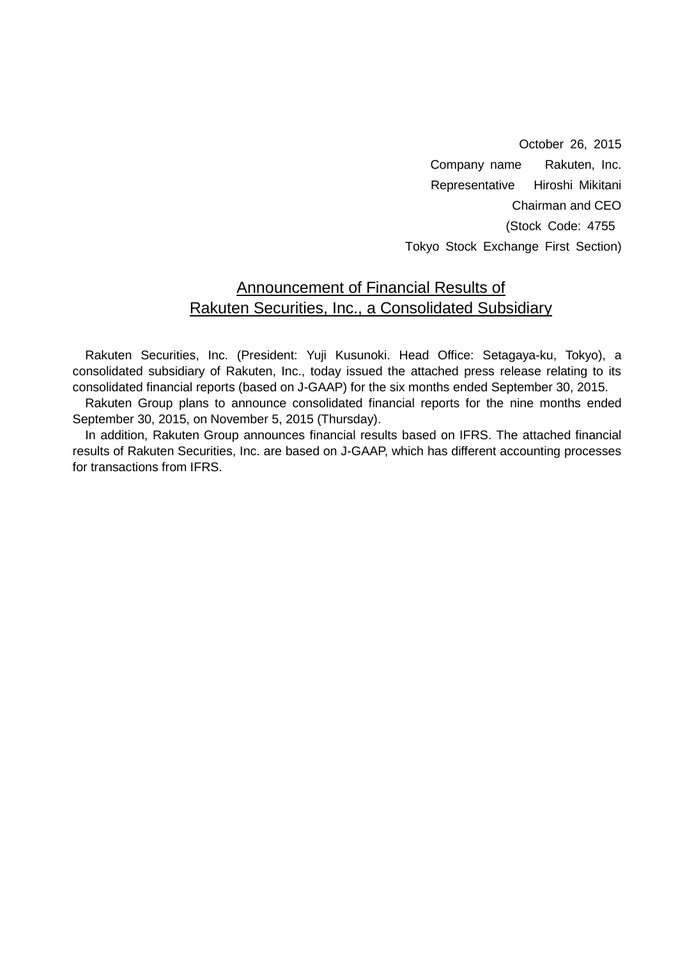October 26, 2015 Company name Rakuten, Inc. Representative Hiroshi Mikitani Chairman and CEO (Stock Code: 4755 Tokyo Stock Exchange First Section)

## Announcement of Financial Results of Rakuten Securities, Inc., a Consolidated Subsidiary

Rakuten Securities, Inc. (President: Yuji Kusunoki. Head Office: Setagaya-ku, Tokyo), a consolidated subsidiary of Rakuten, Inc., today issued the attached press release relating to its consolidated financial reports (based on J-GAAP) for the six months ended September 30, 2015.

Rakuten Group plans to announce consolidated financial reports for the nine months ended September 30, 2015, on November 5, 2015 (Thursday).

In addition, Rakuten Group announces financial results based on IFRS. The attached financial results of Rakuten Securities, Inc. are based on J-GAAP, which has different accounting processes for transactions from IFRS.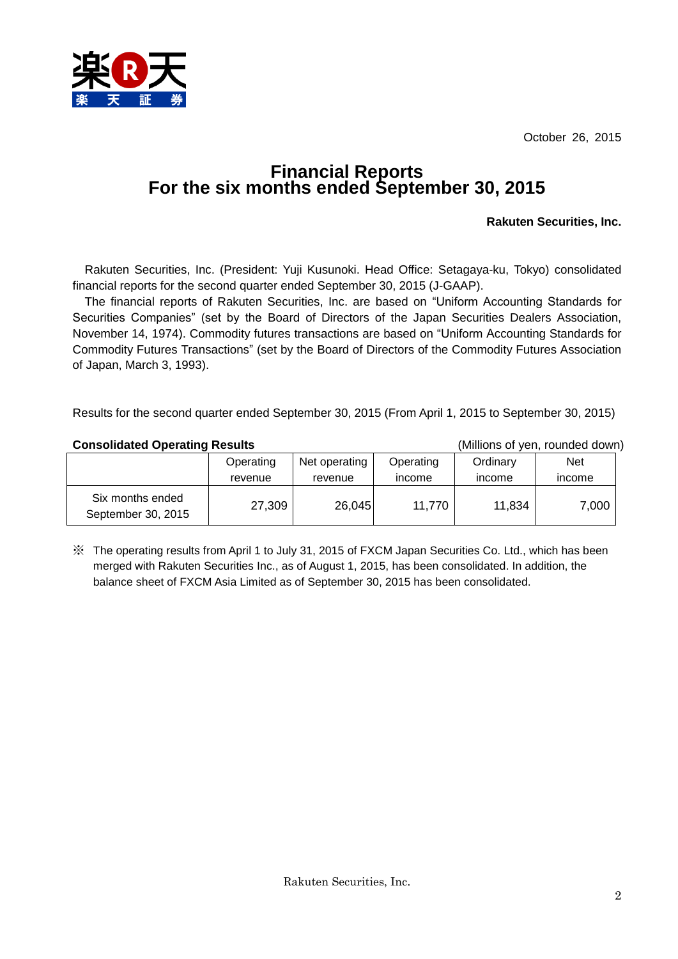October 26, 2015



## **Financial Reports For the six months ended September 30, 2015**

#### **Rakuten Securities, Inc.**

Rakuten Securities, Inc. (President: Yuji Kusunoki. Head Office: Setagaya-ku, Tokyo) consolidated financial reports for the second quarter ended September 30, 2015 (J-GAAP).

The financial reports of Rakuten Securities, Inc. are based on "Uniform Accounting Standards for Securities Companies" (set by the Board of Directors of the Japan Securities Dealers Association, November 14, 1974). Commodity futures transactions are based on "Uniform Accounting Standards for Commodity Futures Transactions" (set by the Board of Directors of the Commodity Futures Association of Japan, March 3, 1993).

Results for the second quarter ended September 30, 2015 (From April 1, 2015 to September 30, 2015)

#### **Consolidated Operating Results** (Millions of yen, rounded down)

|                                        | Operating | Net operating | Operating     | Ordinary      | <b>Net</b>    |
|----------------------------------------|-----------|---------------|---------------|---------------|---------------|
|                                        | revenue   | revenue       | <i>income</i> | <b>Income</b> | <i>income</i> |
| Six months ended<br>September 30, 2015 | 27,309    | 26,045        | 11.770        | 11,834        | 7,000         |

※ The operating results from April 1 to July 31, 2015 of FXCM Japan Securities Co. Ltd., which has been merged with Rakuten Securities Inc., as of August 1, 2015, has been consolidated. In addition, the balance sheet of FXCM Asia Limited as of September 30, 2015 has been consolidated.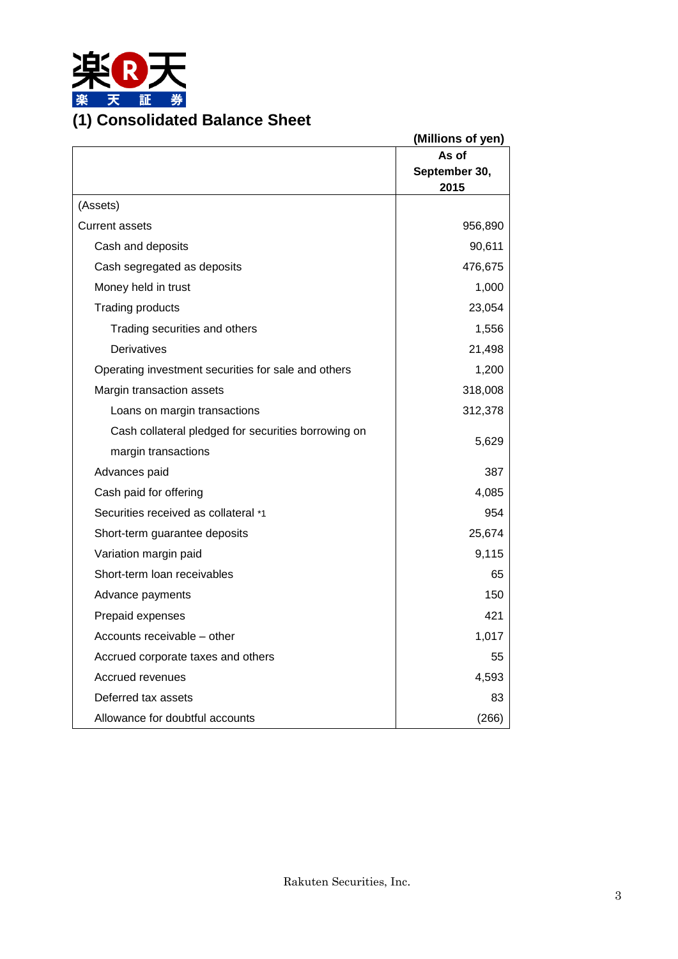

|                                                     | (Millions of yen) |
|-----------------------------------------------------|-------------------|
|                                                     | As of             |
|                                                     | September 30,     |
|                                                     | 2015              |
| (Assets)                                            |                   |
| <b>Current assets</b>                               | 956,890           |
| Cash and deposits                                   | 90,611            |
| Cash segregated as deposits                         | 476,675           |
| Money held in trust                                 | 1,000             |
| <b>Trading products</b>                             | 23,054            |
| Trading securities and others                       | 1,556             |
| <b>Derivatives</b>                                  | 21,498            |
| Operating investment securities for sale and others | 1,200             |
| Margin transaction assets                           | 318,008           |
| Loans on margin transactions                        | 312,378           |
| Cash collateral pledged for securities borrowing on | 5,629             |
| margin transactions                                 |                   |
| Advances paid                                       | 387               |
| Cash paid for offering                              | 4,085             |
| Securities received as collateral *1                | 954               |
| Short-term guarantee deposits                       | 25,674            |
| Variation margin paid                               | 9,115             |
| Short-term loan receivables                         | 65                |
| Advance payments                                    | 150               |
| Prepaid expenses                                    | 421               |
| Accounts receivable - other                         | 1,017             |
| Accrued corporate taxes and others                  | 55                |
| Accrued revenues                                    | 4,593             |
| Deferred tax assets                                 | 83                |
| Allowance for doubtful accounts                     | (266)             |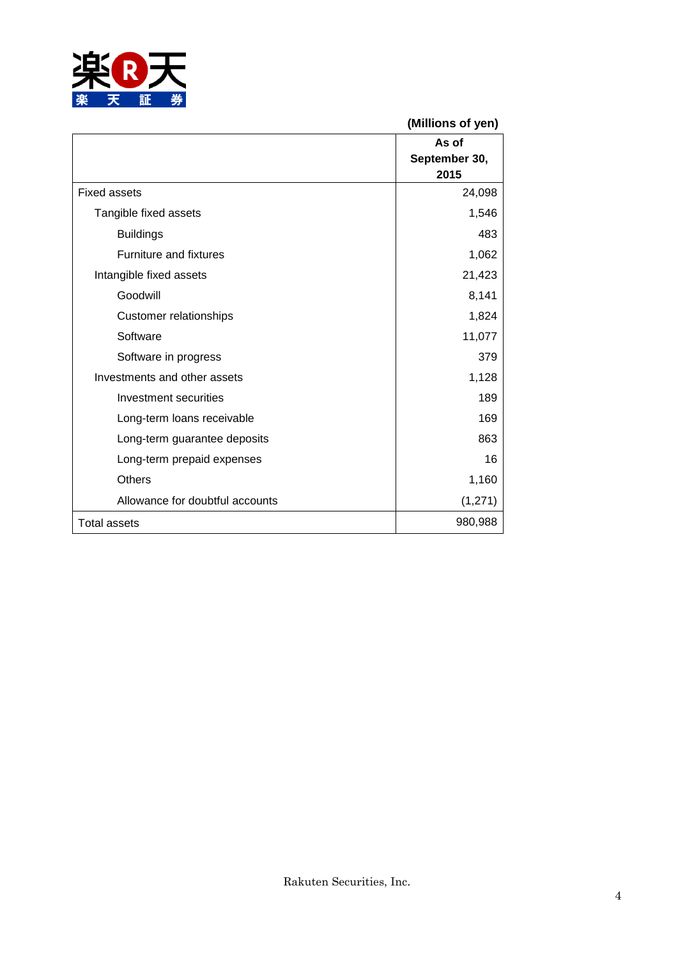

|                                 | (Millions of yen) |
|---------------------------------|-------------------|
|                                 | As of             |
|                                 | September 30,     |
|                                 | 2015              |
| <b>Fixed assets</b>             | 24,098            |
| Tangible fixed assets           | 1,546             |
| <b>Buildings</b>                | 483               |
| <b>Furniture and fixtures</b>   | 1,062             |
| Intangible fixed assets         | 21,423            |
| Goodwill                        | 8,141             |
| <b>Customer relationships</b>   | 1,824             |
| Software                        | 11,077            |
| Software in progress            | 379               |
| Investments and other assets    | 1,128             |
| Investment securities           | 189               |
| Long-term loans receivable      | 169               |
| Long-term guarantee deposits    | 863               |
| Long-term prepaid expenses      | 16                |
| Others                          | 1,160             |
| Allowance for doubtful accounts | (1, 271)          |
| <b>Total assets</b>             | 980,988           |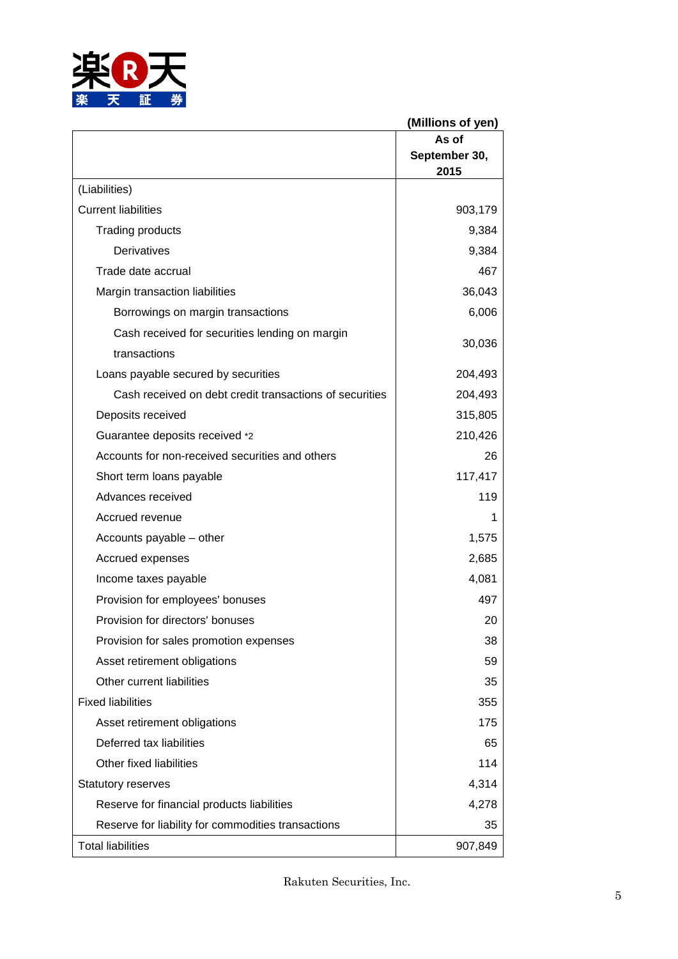

|                                                         | (Millions of yen)              |
|---------------------------------------------------------|--------------------------------|
|                                                         | As of<br>September 30,<br>2015 |
| (Liabilities)                                           |                                |
| <b>Current liabilities</b>                              | 903,179                        |
| <b>Trading products</b>                                 | 9,384                          |
| <b>Derivatives</b>                                      | 9,384                          |
| Trade date accrual                                      | 467                            |
| Margin transaction liabilities                          | 36,043                         |
| Borrowings on margin transactions                       | 6,006                          |
| Cash received for securities lending on margin          | 30,036                         |
| transactions                                            |                                |
| Loans payable secured by securities                     | 204,493                        |
| Cash received on debt credit transactions of securities | 204,493                        |
| Deposits received                                       | 315,805                        |
| Guarantee deposits received *2                          | 210,426                        |
| Accounts for non-received securities and others         | 26                             |
| Short term loans payable                                | 117,417                        |
| Advances received                                       | 119                            |
| Accrued revenue                                         |                                |
| Accounts payable - other                                | 1,575                          |
| Accrued expenses                                        | 2,685                          |
| Income taxes payable                                    | 4,081                          |
| Provision for employees' bonuses                        | 497                            |
| Provision for directors' bonuses                        | 20                             |
| Provision for sales promotion expenses                  | 38                             |
| Asset retirement obligations                            | 59                             |
| Other current liabilities                               | 35                             |
| <b>Fixed liabilities</b>                                | 355                            |
| Asset retirement obligations                            | 175                            |
| Deferred tax liabilities                                | 65                             |
| Other fixed liabilities                                 | 114                            |
| <b>Statutory reserves</b>                               | 4,314                          |
| Reserve for financial products liabilities              | 4,278                          |
| Reserve for liability for commodities transactions      | 35                             |
| <b>Total liabilities</b>                                | 907,849                        |

Rakuten Securities, Inc.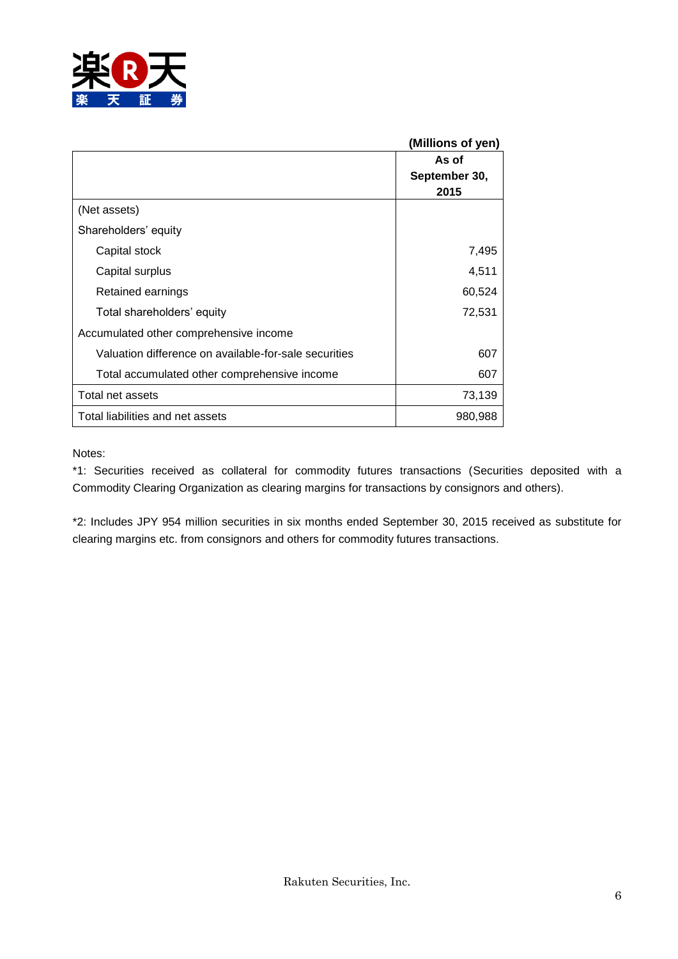

|                                                       | (Millions of yen) |
|-------------------------------------------------------|-------------------|
|                                                       | As of             |
|                                                       | September 30,     |
|                                                       | 2015              |
| (Net assets)                                          |                   |
| Shareholders' equity                                  |                   |
| Capital stock                                         | 7,495             |
| Capital surplus                                       | 4,511             |
| Retained earnings                                     | 60,524            |
| Total shareholders' equity                            | 72,531            |
| Accumulated other comprehensive income                |                   |
| Valuation difference on available-for-sale securities | 607               |
| Total accumulated other comprehensive income          | 607               |
| Total net assets                                      | 73,139            |
| Total liabilities and net assets                      | 980,988           |

#### Notes:

\*1: Securities received as collateral for commodity futures transactions (Securities deposited with a Commodity Clearing Organization as clearing margins for transactions by consignors and others).

\*2: Includes JPY 954 million securities in six months ended September 30, 2015 received as substitute for clearing margins etc. from consignors and others for commodity futures transactions.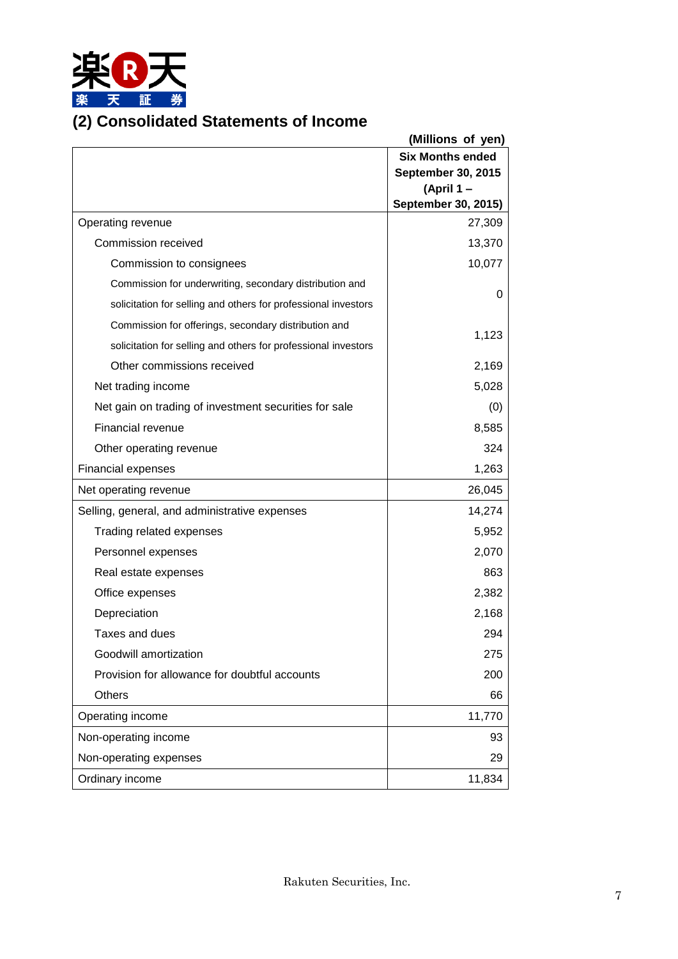

## **(2) Consolidated Statements of Income**

| <b>Six Months ended</b><br><b>September 30, 2015</b><br>(April 1-<br>September 30, 2015)<br>Operating revenue<br>27,309<br>Commission received<br>13,370<br>10,077<br>Commission to consignees<br>Commission for underwriting, secondary distribution and<br>0<br>solicitation for selling and others for professional investors<br>Commission for offerings, secondary distribution and<br>1,123<br>solicitation for selling and others for professional investors<br>Other commissions received<br>2,169<br>5,028<br>Net trading income<br>Net gain on trading of investment securities for sale<br>(0)<br><b>Financial revenue</b><br>8,585<br>324<br>Other operating revenue<br>1,263<br><b>Financial expenses</b><br>Net operating revenue<br>26,045<br>14,274<br>Selling, general, and administrative expenses<br>5,952<br>Trading related expenses<br>2,070<br>Personnel expenses<br>863<br>Real estate expenses<br>2,382<br>Office expenses<br>2,168<br>Depreciation<br>Taxes and dues<br>294<br>Goodwill amortization<br>275<br>Provision for allowance for doubtful accounts<br>200<br><b>Others</b><br>66<br>11,770<br>Operating income<br>Non-operating income<br>93<br>Non-operating expenses<br>29<br>Ordinary income<br>11,834 | (Millions of yen) |
|-----------------------------------------------------------------------------------------------------------------------------------------------------------------------------------------------------------------------------------------------------------------------------------------------------------------------------------------------------------------------------------------------------------------------------------------------------------------------------------------------------------------------------------------------------------------------------------------------------------------------------------------------------------------------------------------------------------------------------------------------------------------------------------------------------------------------------------------------------------------------------------------------------------------------------------------------------------------------------------------------------------------------------------------------------------------------------------------------------------------------------------------------------------------------------------------------------------------------------------------------|-------------------|
|                                                                                                                                                                                                                                                                                                                                                                                                                                                                                                                                                                                                                                                                                                                                                                                                                                                                                                                                                                                                                                                                                                                                                                                                                                               |                   |
|                                                                                                                                                                                                                                                                                                                                                                                                                                                                                                                                                                                                                                                                                                                                                                                                                                                                                                                                                                                                                                                                                                                                                                                                                                               |                   |
|                                                                                                                                                                                                                                                                                                                                                                                                                                                                                                                                                                                                                                                                                                                                                                                                                                                                                                                                                                                                                                                                                                                                                                                                                                               |                   |
|                                                                                                                                                                                                                                                                                                                                                                                                                                                                                                                                                                                                                                                                                                                                                                                                                                                                                                                                                                                                                                                                                                                                                                                                                                               |                   |
|                                                                                                                                                                                                                                                                                                                                                                                                                                                                                                                                                                                                                                                                                                                                                                                                                                                                                                                                                                                                                                                                                                                                                                                                                                               |                   |
|                                                                                                                                                                                                                                                                                                                                                                                                                                                                                                                                                                                                                                                                                                                                                                                                                                                                                                                                                                                                                                                                                                                                                                                                                                               |                   |
|                                                                                                                                                                                                                                                                                                                                                                                                                                                                                                                                                                                                                                                                                                                                                                                                                                                                                                                                                                                                                                                                                                                                                                                                                                               |                   |
|                                                                                                                                                                                                                                                                                                                                                                                                                                                                                                                                                                                                                                                                                                                                                                                                                                                                                                                                                                                                                                                                                                                                                                                                                                               |                   |
|                                                                                                                                                                                                                                                                                                                                                                                                                                                                                                                                                                                                                                                                                                                                                                                                                                                                                                                                                                                                                                                                                                                                                                                                                                               |                   |
|                                                                                                                                                                                                                                                                                                                                                                                                                                                                                                                                                                                                                                                                                                                                                                                                                                                                                                                                                                                                                                                                                                                                                                                                                                               |                   |
|                                                                                                                                                                                                                                                                                                                                                                                                                                                                                                                                                                                                                                                                                                                                                                                                                                                                                                                                                                                                                                                                                                                                                                                                                                               |                   |
|                                                                                                                                                                                                                                                                                                                                                                                                                                                                                                                                                                                                                                                                                                                                                                                                                                                                                                                                                                                                                                                                                                                                                                                                                                               |                   |
|                                                                                                                                                                                                                                                                                                                                                                                                                                                                                                                                                                                                                                                                                                                                                                                                                                                                                                                                                                                                                                                                                                                                                                                                                                               |                   |
|                                                                                                                                                                                                                                                                                                                                                                                                                                                                                                                                                                                                                                                                                                                                                                                                                                                                                                                                                                                                                                                                                                                                                                                                                                               |                   |
|                                                                                                                                                                                                                                                                                                                                                                                                                                                                                                                                                                                                                                                                                                                                                                                                                                                                                                                                                                                                                                                                                                                                                                                                                                               |                   |
|                                                                                                                                                                                                                                                                                                                                                                                                                                                                                                                                                                                                                                                                                                                                                                                                                                                                                                                                                                                                                                                                                                                                                                                                                                               |                   |
|                                                                                                                                                                                                                                                                                                                                                                                                                                                                                                                                                                                                                                                                                                                                                                                                                                                                                                                                                                                                                                                                                                                                                                                                                                               |                   |
|                                                                                                                                                                                                                                                                                                                                                                                                                                                                                                                                                                                                                                                                                                                                                                                                                                                                                                                                                                                                                                                                                                                                                                                                                                               |                   |
|                                                                                                                                                                                                                                                                                                                                                                                                                                                                                                                                                                                                                                                                                                                                                                                                                                                                                                                                                                                                                                                                                                                                                                                                                                               |                   |
|                                                                                                                                                                                                                                                                                                                                                                                                                                                                                                                                                                                                                                                                                                                                                                                                                                                                                                                                                                                                                                                                                                                                                                                                                                               |                   |
|                                                                                                                                                                                                                                                                                                                                                                                                                                                                                                                                                                                                                                                                                                                                                                                                                                                                                                                                                                                                                                                                                                                                                                                                                                               |                   |
|                                                                                                                                                                                                                                                                                                                                                                                                                                                                                                                                                                                                                                                                                                                                                                                                                                                                                                                                                                                                                                                                                                                                                                                                                                               |                   |
|                                                                                                                                                                                                                                                                                                                                                                                                                                                                                                                                                                                                                                                                                                                                                                                                                                                                                                                                                                                                                                                                                                                                                                                                                                               |                   |
|                                                                                                                                                                                                                                                                                                                                                                                                                                                                                                                                                                                                                                                                                                                                                                                                                                                                                                                                                                                                                                                                                                                                                                                                                                               |                   |
|                                                                                                                                                                                                                                                                                                                                                                                                                                                                                                                                                                                                                                                                                                                                                                                                                                                                                                                                                                                                                                                                                                                                                                                                                                               |                   |
|                                                                                                                                                                                                                                                                                                                                                                                                                                                                                                                                                                                                                                                                                                                                                                                                                                                                                                                                                                                                                                                                                                                                                                                                                                               |                   |
|                                                                                                                                                                                                                                                                                                                                                                                                                                                                                                                                                                                                                                                                                                                                                                                                                                                                                                                                                                                                                                                                                                                                                                                                                                               |                   |
|                                                                                                                                                                                                                                                                                                                                                                                                                                                                                                                                                                                                                                                                                                                                                                                                                                                                                                                                                                                                                                                                                                                                                                                                                                               |                   |
|                                                                                                                                                                                                                                                                                                                                                                                                                                                                                                                                                                                                                                                                                                                                                                                                                                                                                                                                                                                                                                                                                                                                                                                                                                               |                   |
|                                                                                                                                                                                                                                                                                                                                                                                                                                                                                                                                                                                                                                                                                                                                                                                                                                                                                                                                                                                                                                                                                                                                                                                                                                               |                   |
|                                                                                                                                                                                                                                                                                                                                                                                                                                                                                                                                                                                                                                                                                                                                                                                                                                                                                                                                                                                                                                                                                                                                                                                                                                               |                   |
|                                                                                                                                                                                                                                                                                                                                                                                                                                                                                                                                                                                                                                                                                                                                                                                                                                                                                                                                                                                                                                                                                                                                                                                                                                               |                   |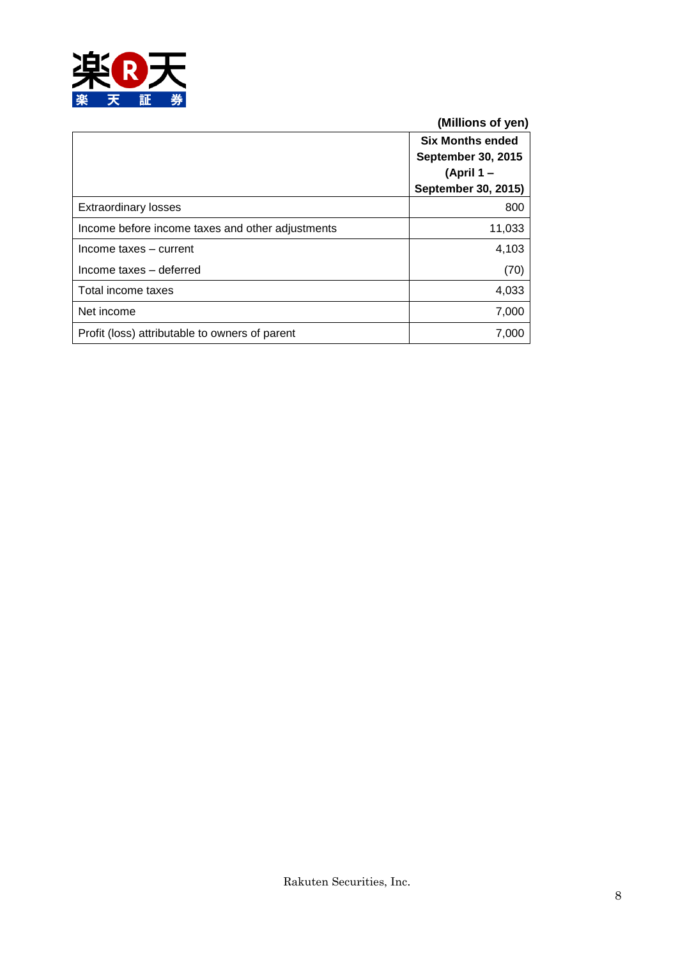

**(Millions of yen)**

|                                                  | <b>Six Months ended</b>   |
|--------------------------------------------------|---------------------------|
|                                                  | <b>September 30, 2015</b> |
|                                                  | (April 1 –                |
|                                                  | September 30, 2015)       |
| <b>Extraordinary losses</b>                      | 800                       |
| Income before income taxes and other adjustments | 11,033                    |
| Income taxes - current                           | 4,103                     |
| Income taxes - deferred                          | (70)                      |
| Total income taxes                               | 4,033                     |
| Net income                                       | 7,000                     |
| Profit (loss) attributable to owners of parent   | 7,000                     |